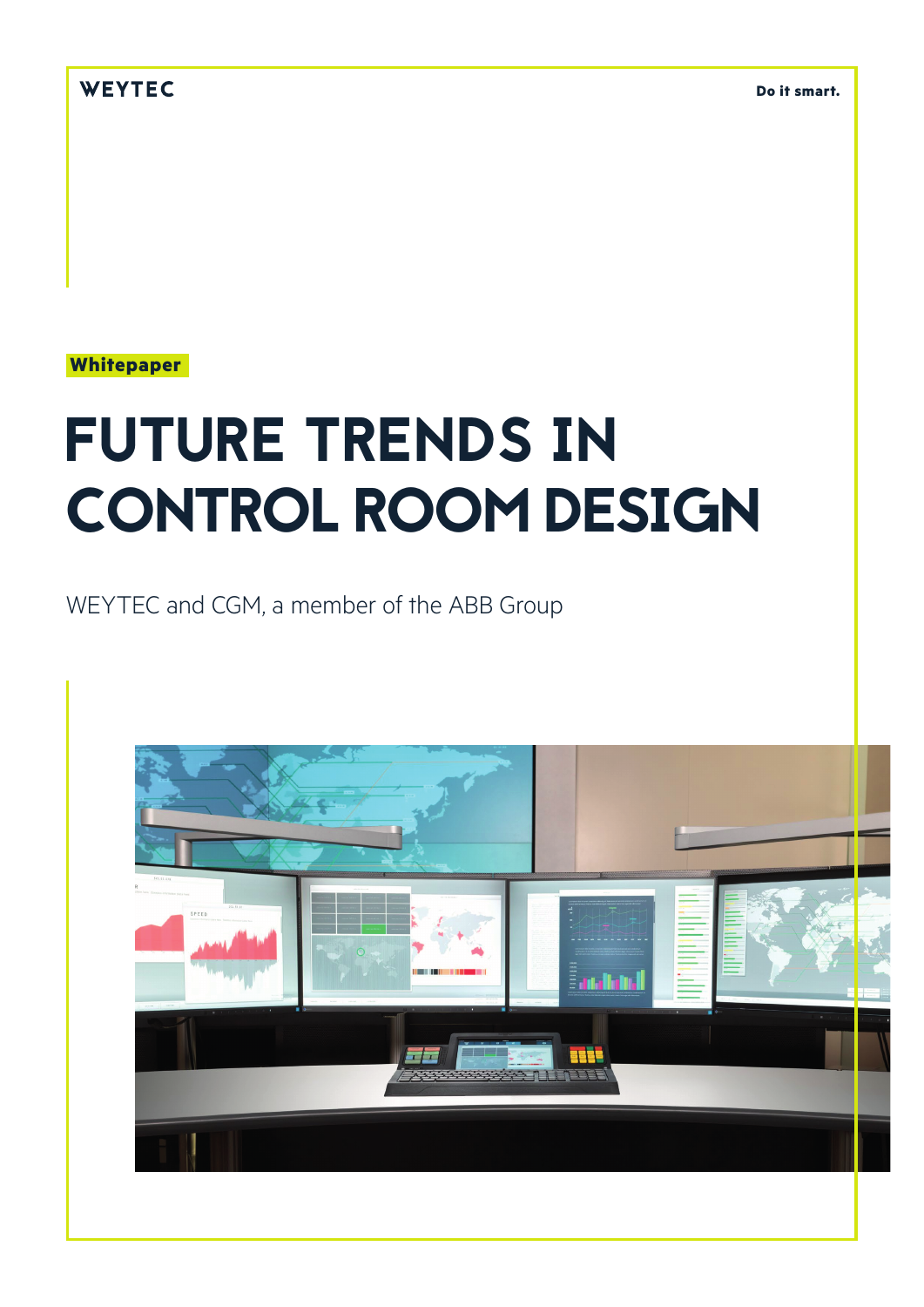WEYTEC

**Do it smart.**

**Whitepaper**

# FUTURE TRENDS IN CONTROL ROOM DESIGN

WEYTEC and CGM, a member of the ABB Group

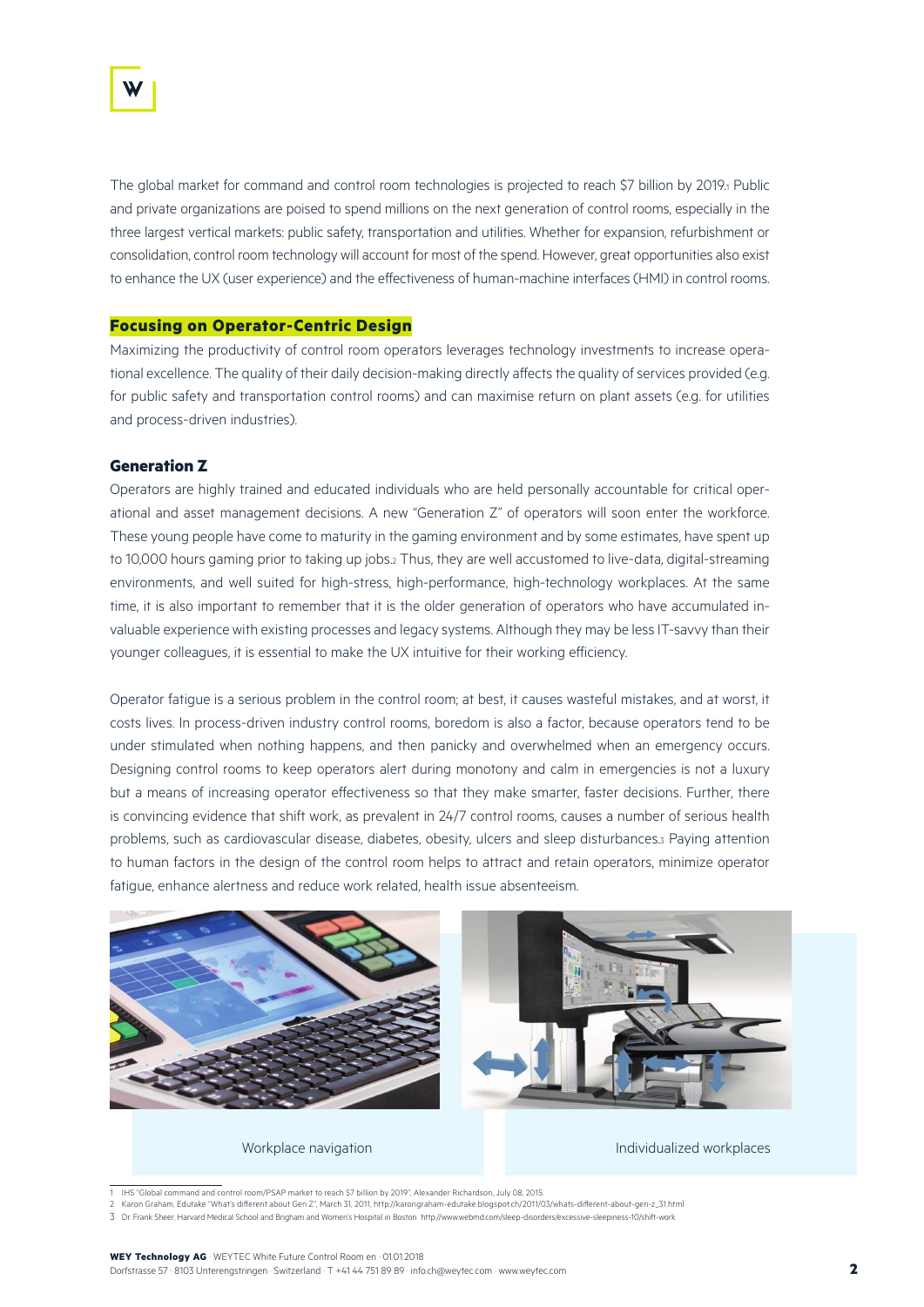

The global market for command and control room technologies is projected to reach \$7 billion by 2019.1 Public and private organizations are poised to spend millions on the next generation of control rooms, especially in the three largest vertical markets: public safety, transportation and utilities. Whether for expansion, refurbishment or consolidation, control room technology will account for most of the spend. However, great opportunities also exist to enhance the UX (user experience) and the effectiveness of human-machine interfaces (HMI) in control rooms.

### **Focusing on Operator-Centric Design**

Maximizing the productivity of control room operators leverages technology investments to increase operational excellence. The quality of their daily decision-making directly affects the quality of services provided (e.g. for public safety and transportation control rooms) and can maximise return on plant assets (e.g. for utilities and process-driven industries).

# **Generation Z**

Operators are highly trained and educated individuals who are held personally accountable for critical operational and asset management decisions. A new "Generation Z" of operators will soon enter the workforce. These young people have come to maturity in the gaming environment and by some estimates, have spent up to 10,000 hours gaming prior to taking up jobs.<sup>2</sup> Thus, they are well accustomed to live-data, digital-streaming environments, and well suited for high-stress, high-performance, high-technology workplaces. At the same time, it is also important to remember that it is the older generation of operators who have accumulated invaluable experience with existing processes and legacy systems. Although they may be less IT-savvy than their younger colleagues, it is essential to make the UX intuitive for their working efficiency.

Operator fatigue is a serious problem in the control room; at best, it causes wasteful mistakes, and at worst, it costs lives. In process-driven industry control rooms, boredom is also a factor, because operators tend to be under stimulated when nothing happens, and then panicky and overwhelmed when an emergency occurs. Designing control rooms to keep operators alert during monotony and calm in emergencies is not a luxury but a means of increasing operator effectiveness so that they make smarter, faster decisions. Further, there is convincing evidence that shift work, as prevalent in 24/7 control rooms, causes a number of serious health problems, such as cardiovascular disease, diabetes, obesity, ulcers and sleep disturbances.3 Paying attention to human factors in the design of the control room helps to attract and retain operators, minimize operator fatigue, enhance alertness and reduce work related, health issue absenteeism.



1 IHS "Global command and control room/PSAP market to reach \$7 billion by 2019", Alexander Richardson, July 08, 2015.<br>2 Karon Graham, Edutake "What's different about Gen Z", March 31, 2011, http://karongraham-edutake.blogs

3 Dr. Frank Sheer, Harvard Medical School and Brigham and Women's Hospital in Boston http://www.webmd.com/sleep-disorders/excessive-sleepiness-10/shift-work

#### **WEY Technology AG** · WEYTEC White Future Control Room en · 01.01.2018 Dorfstrasse 57 · 8103 Unterengstringen · Switzerland · T +41 44 751 89 89 · info.ch@weytec.com · www.weytec.com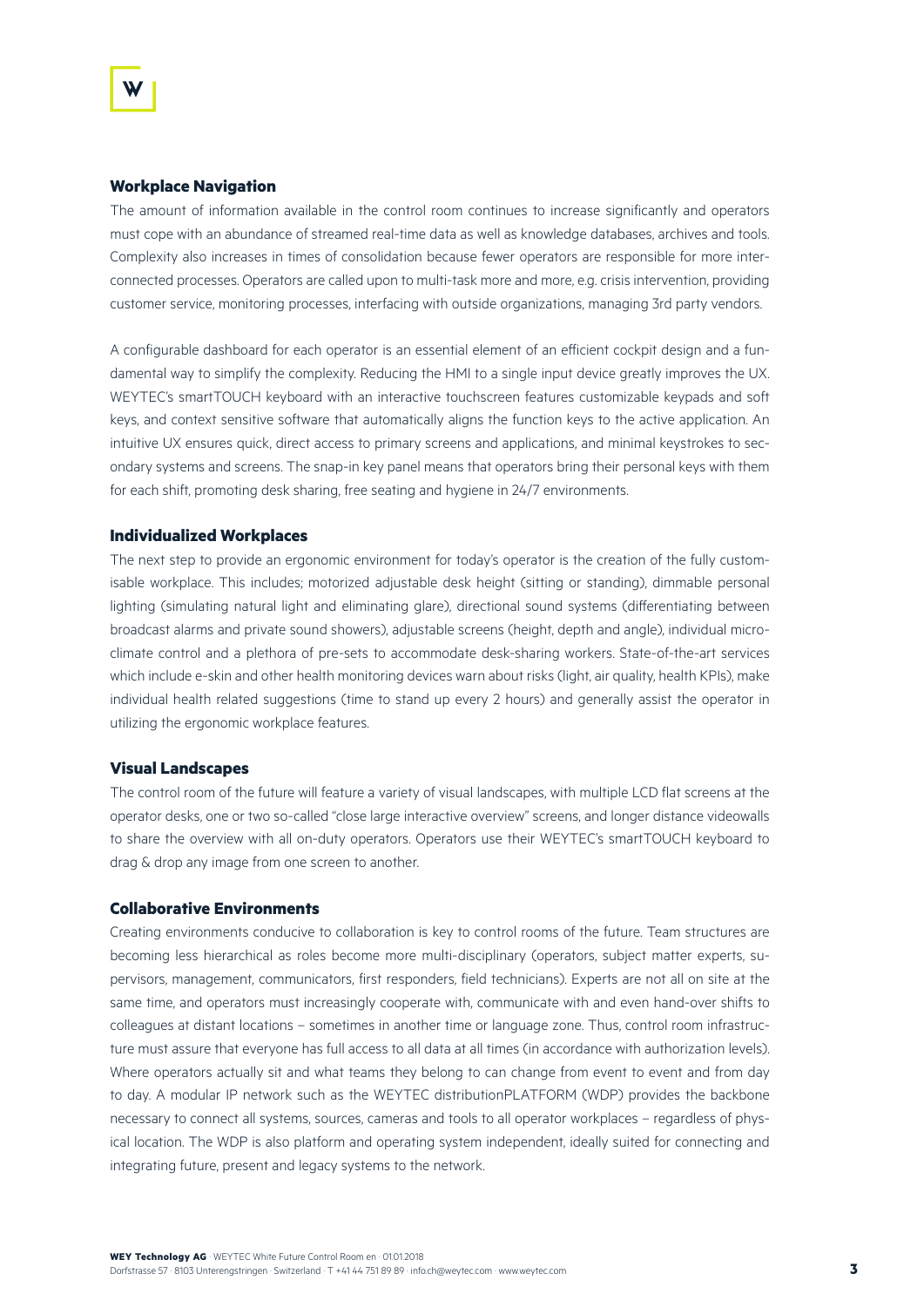# **Workplace Navigation**

The amount of information available in the control room continues to increase significantly and operators must cope with an abundance of streamed real-time data as well as knowledge databases, archives and tools. Complexity also increases in times of consolidation because fewer operators are responsible for more interconnected processes. Operators are called upon to multi-task more and more, e.g. crisis intervention, providing customer service, monitoring processes, interfacing with outside organizations, managing 3rd party vendors.

A configurable dashboard for each operator is an essential element of an efficient cockpit design and a fundamental way to simplify the complexity. Reducing the HMI to a single input device greatly improves the UX. WEYTEC's smartTOUCH keyboard with an interactive touchscreen features customizable keypads and soft keys, and context sensitive software that automatically aligns the function keys to the active application. An intuitive UX ensures quick, direct access to primary screens and applications, and minimal keystrokes to secondary systems and screens. The snap-in key panel means that operators bring their personal keys with them for each shift, promoting desk sharing, free seating and hygiene in 24/7 environments.

#### **Individualized Workplaces**

The next step to provide an ergonomic environment for today's operator is the creation of the fully customisable workplace. This includes; motorized adjustable desk height (sitting or standing), dimmable personal lighting (simulating natural light and eliminating glare), directional sound systems (differentiating between broadcast alarms and private sound showers), adjustable screens (height, depth and angle), individual microclimate control and a plethora of pre-sets to accommodate desk-sharing workers. State-of-the-art services which include e-skin and other health monitoring devices warn about risks (light, air quality, health KPIs), make individual health related suggestions (time to stand up every 2 hours) and generally assist the operator in utilizing the ergonomic workplace features.

#### **Visual Landscapes**

The control room of the future will feature a variety of visual landscapes, with multiple LCD flat screens at the operator desks, one or two so-called "close large interactive overview" screens, and longer distance videowalls to share the overview with all on-duty operators. Operators use their WEYTEC's smartTOUCH keyboard to drag & drop any image from one screen to another.

# **Collaborative Environments**

Creating environments conducive to collaboration is key to control rooms of the future. Team structures are becoming less hierarchical as roles become more multi-disciplinary (operators, subject matter experts, supervisors, management, communicators, first responders, field technicians). Experts are not all on site at the same time, and operators must increasingly cooperate with, communicate with and even hand-over shifts to colleagues at distant locations – sometimes in another time or language zone. Thus, control room infrastructure must assure that everyone has full access to all data at all times (in accordance with authorization levels). Where operators actually sit and what teams they belong to can change from event to event and from day to day. A modular IP network such as the WEYTEC distributionPLATFORM (WDP) provides the backbone necessary to connect all systems, sources, cameras and tools to all operator workplaces – regardless of physical location. The WDP is also platform and operating system independent, ideally suited for connecting and integrating future, present and legacy systems to the network.